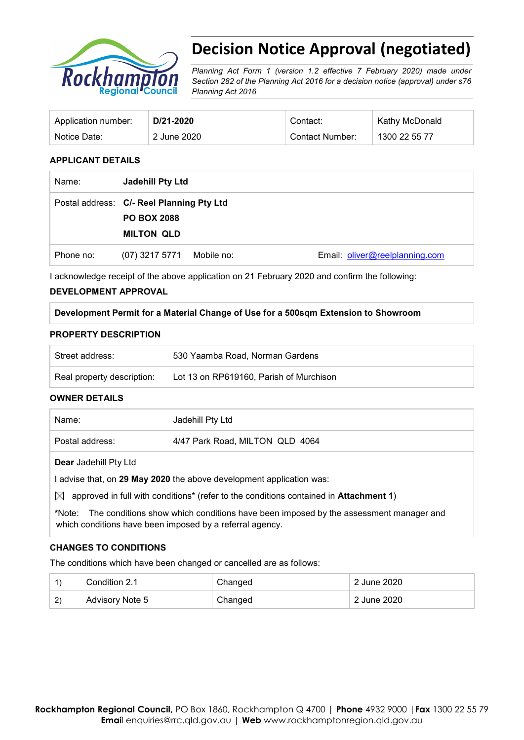

# **Decision Notice Approval (negotiated)**

*Planning Act Form 1 (version 1.2 effective 7 February 2020) made under Section 282 of the Planning Act 2016 for a decision notice (approval) under s76 Planning Act 2016*

| Application number: | D/21-2020   | Contact:        | Kathy McDonald |
|---------------------|-------------|-----------------|----------------|
| Notice Date:        | 2 June 2020 | Contact Number: | 1300 22 55 77  |

## **APPLICANT DETAILS**

| Name:     | Jadehill Pty Ltd                                                                     |                                |
|-----------|--------------------------------------------------------------------------------------|--------------------------------|
|           | Postal address: C/- Reel Planning Pty Ltd<br><b>PO BOX 2088</b><br><b>MILTON QLD</b> |                                |
|           |                                                                                      |                                |
| Phone no: | (07) 3217 5771 Mobile no:                                                            | Email: oliver@reelplanning.com |

I acknowledge receipt of the above application on 21 February 2020 and confirm the following:

## **DEVELOPMENT APPROVAL**

**Development Permit for a Material Change of Use for a 500sqm Extension to Showroom**

#### **PROPERTY DESCRIPTION**

| Street address:            | 530 Yaamba Road, Norman Gardens         |
|----------------------------|-----------------------------------------|
| Real property description: | Lot 13 on RP619160, Parish of Murchison |

## **OWNER DETAILS**

| Name:                                                                                                                                                   | Jadehill Pty Ltd                |  |  |
|---------------------------------------------------------------------------------------------------------------------------------------------------------|---------------------------------|--|--|
| Postal address:                                                                                                                                         | 4/47 Park Road, MILTON QLD 4064 |  |  |
| <b>Dear</b> Jadehill Pty Ltd                                                                                                                            |                                 |  |  |
| advise that, on 29 May 2020 the above development application was:                                                                                      |                                 |  |  |
| approved in full with conditions <sup>*</sup> (refer to the conditions contained in <b>Attachment 1</b> )<br>IXI.                                       |                                 |  |  |
| *Note: The conditions show which conditions have been imposed by the assessment manager and<br>which conditions have been imposed by a referral agency. |                                 |  |  |

## **CHANGES TO CONDITIONS**

The conditions which have been changed or cancelled are as follows:

|    | Condition 2.1   | Changed | 2 June 2020             |
|----|-----------------|---------|-------------------------|
| 2) | Advisory Note 5 | Changed | $\pm 2$ June 2020 $\pm$ |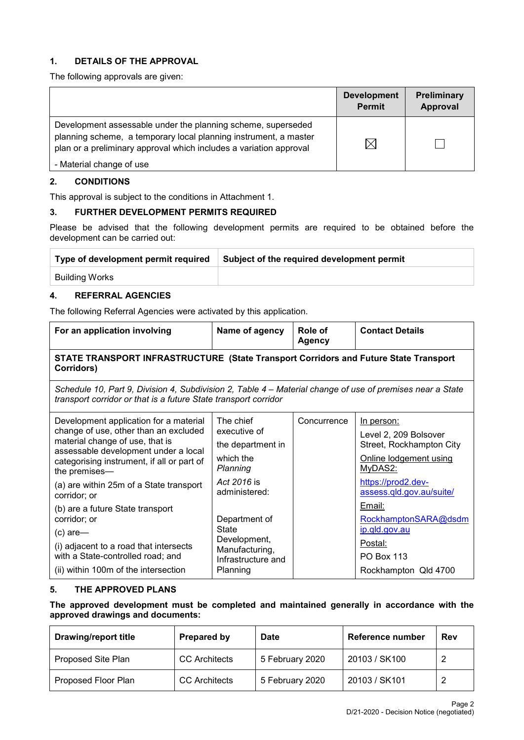## **1. DETAILS OF THE APPROVAL**

The following approvals are given:

|                                                                                                                                                                                                        | <b>Development</b><br><b>Permit</b> | Preliminary<br>Approval |
|--------------------------------------------------------------------------------------------------------------------------------------------------------------------------------------------------------|-------------------------------------|-------------------------|
| Development assessable under the planning scheme, superseded<br>planning scheme, a temporary local planning instrument, a master<br>plan or a preliminary approval which includes a variation approval | $\boxtimes$                         |                         |
| - Material change of use                                                                                                                                                                               |                                     |                         |

## **2. CONDITIONS**

This approval is subject to the conditions in Attachment 1.

## **3. FURTHER DEVELOPMENT PERMITS REQUIRED**

Please be advised that the following development permits are required to be obtained before the development can be carried out:

| Type of development permit required | Subject of the required development permit |
|-------------------------------------|--------------------------------------------|
| Building Works                      |                                            |

## **4. REFERRAL AGENCIES**

The following Referral Agencies were activated by this application.

| For an application involving                                                                                                                                                                                                                                                                                                                                                                                                          | Name of agency                                                                                                                                                                            | Role of<br>Agency | <b>Contact Details</b>                                                                                                                                                                                                             |  |  |
|---------------------------------------------------------------------------------------------------------------------------------------------------------------------------------------------------------------------------------------------------------------------------------------------------------------------------------------------------------------------------------------------------------------------------------------|-------------------------------------------------------------------------------------------------------------------------------------------------------------------------------------------|-------------------|------------------------------------------------------------------------------------------------------------------------------------------------------------------------------------------------------------------------------------|--|--|
| STATE TRANSPORT INFRASTRUCTURE (State Transport Corridors and Future State Transport<br>Corridors)                                                                                                                                                                                                                                                                                                                                    |                                                                                                                                                                                           |                   |                                                                                                                                                                                                                                    |  |  |
| Schedule 10, Part 9, Division 4, Subdivision 2, Table 4 – Material change of use of premises near a State<br>transport corridor or that is a future State transport corridor                                                                                                                                                                                                                                                          |                                                                                                                                                                                           |                   |                                                                                                                                                                                                                                    |  |  |
| Development application for a material<br>change of use, other than an excluded<br>material change of use, that is<br>assessable development under a local<br>categorising instrument, if all or part of<br>the premises-<br>(a) are within 25m of a State transport<br>corridor; or<br>(b) are a future State transport<br>corridor; or<br>$(c)$ are—<br>(i) adjacent to a road that intersects<br>with a State-controlled road; and | The chief<br>executive of<br>the department in<br>which the<br>Planning<br>Act 2016 is<br>administered:<br>Department of<br>State<br>Development,<br>Manufacturing,<br>Infrastructure and | Concurrence       | In person:<br>Level 2, 209 Bolsover<br>Street, Rockhampton City<br>Online lodgement using<br>MyDAS2:<br>https://prod2.dev-<br>assess.qld.gov.au/suite/<br>Email:<br>RockhamptonSARA@dsdm<br>ip.qld.gov.au<br>Postal:<br>PO Box 113 |  |  |
| (ii) within 100m of the intersection                                                                                                                                                                                                                                                                                                                                                                                                  | Planning                                                                                                                                                                                  |                   | Rockhampton Qld 4700                                                                                                                                                                                                               |  |  |

## **5. THE APPROVED PLANS**

**The approved development must be completed and maintained generally in accordance with the approved drawings and documents:**

| <b>Drawing/report title</b> | <b>Prepared by</b>   | <b>Date</b>     | Reference number | Rev |
|-----------------------------|----------------------|-----------------|------------------|-----|
| Proposed Site Plan          | <b>CC</b> Architects | 5 February 2020 | 20103 / SK100    |     |
| Proposed Floor Plan         | <b>CC</b> Architects | 5 February 2020 | 20103 / SK101    |     |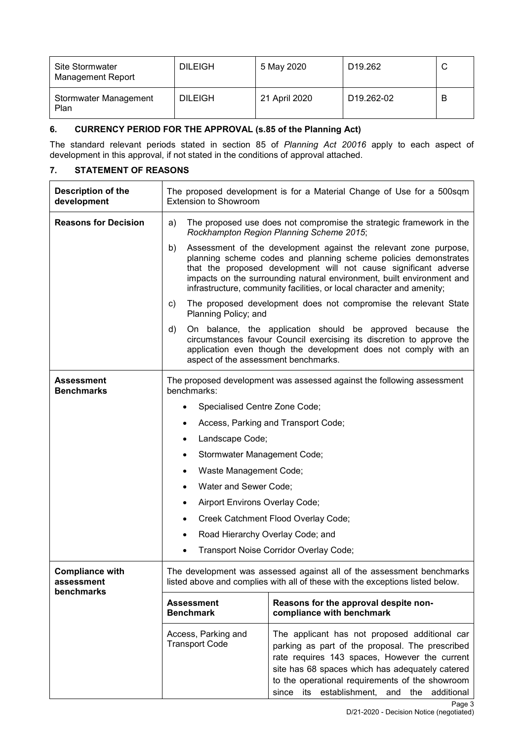| Site Stormwater<br>Management Report | <b>DILEIGH</b> | 5 May 2020    | D <sub>19.262</sub>     |   |
|--------------------------------------|----------------|---------------|-------------------------|---|
| Stormwater Management<br>Plan        | <b>DILEIGH</b> | 21 April 2020 | D <sub>19.262</sub> -02 | B |

## **6. CURRENCY PERIOD FOR THE APPROVAL (s.85 of the Planning Act)**

The standard relevant periods stated in section 85 of *Planning Act 20016* apply to each aspect of development in this approval, if not stated in the conditions of approval attached.

## **7. STATEMENT OF REASONS**

| Description of the<br>development                  | The proposed development is for a Material Change of Use for a 500sqm<br><b>Extension to Showroom</b>                                                                                                                                                                                                                                                           |                                                                                                                                                                                                                                                                                                        |  |
|----------------------------------------------------|-----------------------------------------------------------------------------------------------------------------------------------------------------------------------------------------------------------------------------------------------------------------------------------------------------------------------------------------------------------------|--------------------------------------------------------------------------------------------------------------------------------------------------------------------------------------------------------------------------------------------------------------------------------------------------------|--|
| <b>Reasons for Decision</b>                        | a)                                                                                                                                                                                                                                                                                                                                                              | The proposed use does not compromise the strategic framework in the<br>Rockhampton Region Planning Scheme 2015;                                                                                                                                                                                        |  |
|                                                    | Assessment of the development against the relevant zone purpose,<br>b)<br>planning scheme codes and planning scheme policies demonstrates<br>that the proposed development will not cause significant adverse<br>impacts on the surrounding natural environment, built environment and<br>infrastructure, community facilities, or local character and amenity; |                                                                                                                                                                                                                                                                                                        |  |
|                                                    | C)<br>Planning Policy; and                                                                                                                                                                                                                                                                                                                                      | The proposed development does not compromise the relevant State                                                                                                                                                                                                                                        |  |
|                                                    | d)<br>aspect of the assessment benchmarks.                                                                                                                                                                                                                                                                                                                      | On balance, the application should be approved because the<br>circumstances favour Council exercising its discretion to approve the<br>application even though the development does not comply with an                                                                                                 |  |
| <b>Assessment</b><br><b>Benchmarks</b>             | benchmarks:                                                                                                                                                                                                                                                                                                                                                     | The proposed development was assessed against the following assessment                                                                                                                                                                                                                                 |  |
|                                                    | Specialised Centre Zone Code;<br>٠                                                                                                                                                                                                                                                                                                                              |                                                                                                                                                                                                                                                                                                        |  |
|                                                    | ٠                                                                                                                                                                                                                                                                                                                                                               | Access, Parking and Transport Code;                                                                                                                                                                                                                                                                    |  |
|                                                    | $\bullet$                                                                                                                                                                                                                                                                                                                                                       | Landscape Code;                                                                                                                                                                                                                                                                                        |  |
|                                                    | Stormwater Management Code;<br>٠                                                                                                                                                                                                                                                                                                                                |                                                                                                                                                                                                                                                                                                        |  |
|                                                    |                                                                                                                                                                                                                                                                                                                                                                 | Waste Management Code;                                                                                                                                                                                                                                                                                 |  |
|                                                    |                                                                                                                                                                                                                                                                                                                                                                 | Water and Sewer Code;                                                                                                                                                                                                                                                                                  |  |
|                                                    | Airport Environs Overlay Code;<br>٠                                                                                                                                                                                                                                                                                                                             |                                                                                                                                                                                                                                                                                                        |  |
|                                                    | ٠                                                                                                                                                                                                                                                                                                                                                               | Creek Catchment Flood Overlay Code;                                                                                                                                                                                                                                                                    |  |
|                                                    | Road Hierarchy Overlay Code; and<br>٠                                                                                                                                                                                                                                                                                                                           |                                                                                                                                                                                                                                                                                                        |  |
|                                                    | $\bullet$                                                                                                                                                                                                                                                                                                                                                       | Transport Noise Corridor Overlay Code;                                                                                                                                                                                                                                                                 |  |
| <b>Compliance with</b><br>assessment<br>benchmarks | The development was assessed against all of the assessment benchmarks<br>listed above and complies with all of these with the exceptions listed below.                                                                                                                                                                                                          |                                                                                                                                                                                                                                                                                                        |  |
|                                                    | <b>Assessment</b><br><b>Benchmark</b>                                                                                                                                                                                                                                                                                                                           | Reasons for the approval despite non-<br>compliance with benchmark                                                                                                                                                                                                                                     |  |
|                                                    | Access, Parking and<br><b>Transport Code</b>                                                                                                                                                                                                                                                                                                                    | The applicant has not proposed additional car<br>parking as part of the proposal. The prescribed<br>rate requires 143 spaces, However the current<br>site has 68 spaces which has adequately catered<br>to the operational requirements of the showroom<br>since its establishment, and the additional |  |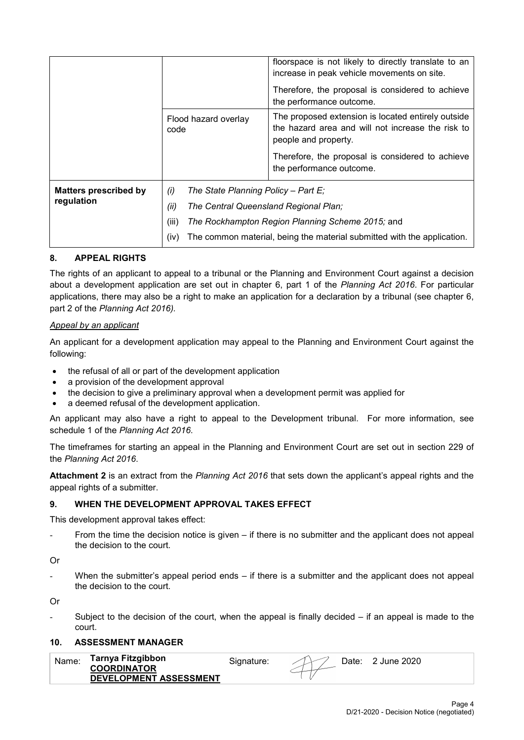|                              |                                            | floorspace is not likely to directly translate to an<br>increase in peak vehicle movements on site.<br>Therefore, the proposal is considered to achieve<br>the performance outcome. |  |
|------------------------------|--------------------------------------------|-------------------------------------------------------------------------------------------------------------------------------------------------------------------------------------|--|
|                              | Flood hazard overlay<br>code               | The proposed extension is located entirely outside<br>the hazard area and will not increase the risk to<br>people and property.                                                     |  |
|                              |                                            | Therefore, the proposal is considered to achieve<br>the performance outcome.                                                                                                        |  |
| <b>Matters prescribed by</b> | The State Planning Policy - Part E;<br>(i) |                                                                                                                                                                                     |  |
| regulation                   | (ii)                                       | The Central Queensland Regional Plan;                                                                                                                                               |  |
|                              | (iii)                                      | The Rockhampton Region Planning Scheme 2015; and                                                                                                                                    |  |
|                              | (iv)                                       | The common material, being the material submitted with the application.                                                                                                             |  |

## **8. APPEAL RIGHTS**

The rights of an applicant to appeal to a tribunal or the Planning and Environment Court against a decision about a development application are set out in chapter 6, part 1 of the *Planning Act 2016*. For particular applications, there may also be a right to make an application for a declaration by a tribunal (see chapter 6, part 2 of the *Planning Act 2016).*

## *Appeal by an applicant*

An applicant for a development application may appeal to the Planning and Environment Court against the following:

- the refusal of all or part of the development application
- a provision of the development approval
- the decision to give a preliminary approval when a development permit was applied for
- a deemed refusal of the development application.

An applicant may also have a right to appeal to the Development tribunal. For more information, see schedule 1 of the *Planning Act 2016*.

The timeframes for starting an appeal in the Planning and Environment Court are set out in section 229 of the *Planning Act 2016*.

**Attachment 2** is an extract from the *Planning Act 2016* that sets down the applicant's appeal rights and the appeal rights of a submitter.

## **9. WHEN THE DEVELOPMENT APPROVAL TAKES EFFECT**

This development approval takes effect:

From the time the decision notice is given  $-$  if there is no submitter and the applicant does not appeal the decision to the court.

Or

When the submitter's appeal period ends  $-$  if there is a submitter and the applicant does not appeal the decision to the court.

Or

Subject to the decision of the court, when the appeal is finally decided  $-$  if an appeal is made to the court.

## **10. ASSESSMENT MANAGER**

| Name | Tarnya Fitzgibbon             | sianature: | ⊃ate: | . June 2020 |
|------|-------------------------------|------------|-------|-------------|
|      | <b>COORDINATOR</b>            |            |       |             |
|      | <b>DEVELOPMENT ASSESSMENT</b> |            |       |             |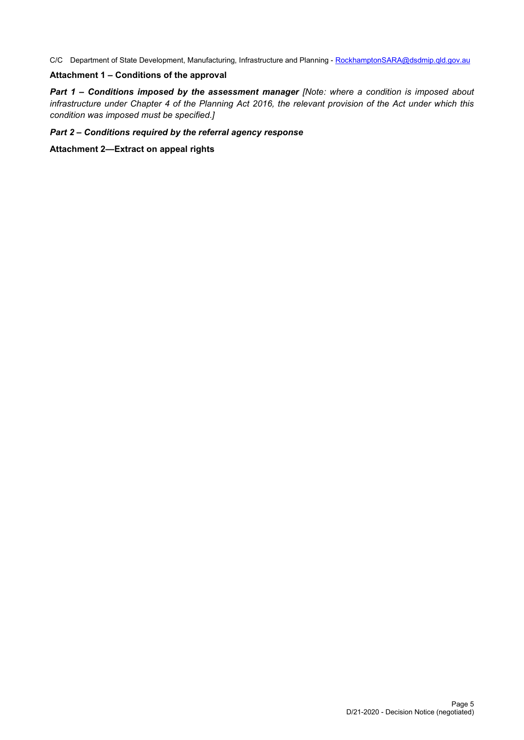C/C Department of State Development, Manufacturing, Infrastructure and Planning - [RockhamptonSARA@dsdmip.qld.gov.au](mailto:RockhamptonSARA@dsdmip.qld.gov.au)

## **Attachment 1 – Conditions of the approval**

*Part 1* **–** *Conditions imposed by the assessment manager [Note: where a condition is imposed about infrastructure under Chapter 4 of the Planning Act 2016, the relevant provision of the Act under which this condition was imposed must be specified.]*

## *Part 2 – Conditions required by the referral agency response*

**Attachment 2—Extract on appeal rights**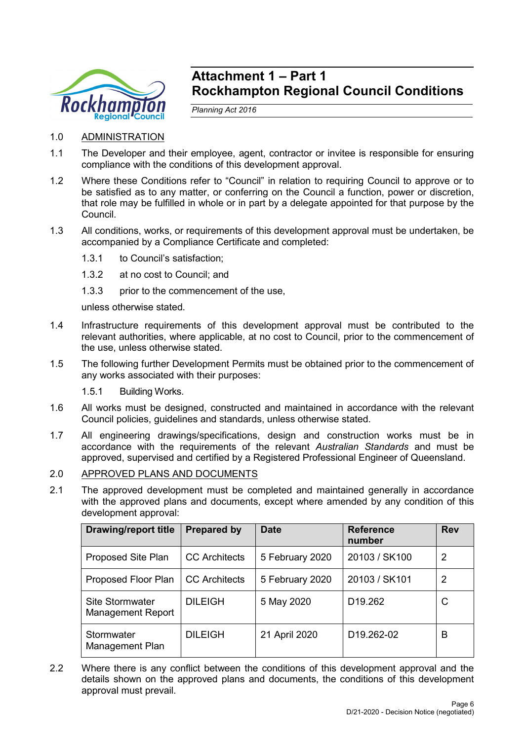

## **Attachment 1 – Part 1 Rockhampton Regional Council Conditions**

*Planning Act 2016*

## 1.0 ADMINISTRATION

- 1.1 The Developer and their employee, agent, contractor or invitee is responsible for ensuring compliance with the conditions of this development approval.
- 1.2 Where these Conditions refer to "Council" in relation to requiring Council to approve or to be satisfied as to any matter, or conferring on the Council a function, power or discretion, that role may be fulfilled in whole or in part by a delegate appointed for that purpose by the Council.
- 1.3 All conditions, works, or requirements of this development approval must be undertaken, be accompanied by a Compliance Certificate and completed:
	- 1.3.1 to Council's satisfaction;
	- 1.3.2 at no cost to Council; and
	- 1.3.3 prior to the commencement of the use,

unless otherwise stated.

- 1.4 Infrastructure requirements of this development approval must be contributed to the relevant authorities, where applicable, at no cost to Council, prior to the commencement of the use, unless otherwise stated.
- 1.5 The following further Development Permits must be obtained prior to the commencement of any works associated with their purposes:
	- 1.5.1 Building Works.
- 1.6 All works must be designed, constructed and maintained in accordance with the relevant Council policies, guidelines and standards, unless otherwise stated.
- 1.7 All engineering drawings/specifications, design and construction works must be in accordance with the requirements of the relevant *Australian Standards* and must be approved, supervised and certified by a Registered Professional Engineer of Queensland.
- 2.0 APPROVED PLANS AND DOCUMENTS
- 2.1 The approved development must be completed and maintained generally in accordance with the approved plans and documents, except where amended by any condition of this development approval:

| <b>Drawing/report title</b>                        | <b>Prepared by</b>   | <b>Date</b>     | <b>Reference</b><br>number | <b>Rev</b> |
|----------------------------------------------------|----------------------|-----------------|----------------------------|------------|
| Proposed Site Plan                                 | <b>CC</b> Architects | 5 February 2020 | 20103 / SK100              | 2          |
| Proposed Floor Plan                                | <b>CC</b> Architects | 5 February 2020 | 20103 / SK101              | 2          |
| <b>Site Stormwater</b><br><b>Management Report</b> | <b>DILEIGH</b>       | 5 May 2020      | D <sub>19.262</sub>        | С          |
| Stormwater<br>Management Plan                      | <b>DILEIGH</b>       | 21 April 2020   | D <sub>19.262-02</sub>     | B          |

2.2 Where there is any conflict between the conditions of this development approval and the details shown on the approved plans and documents, the conditions of this development approval must prevail.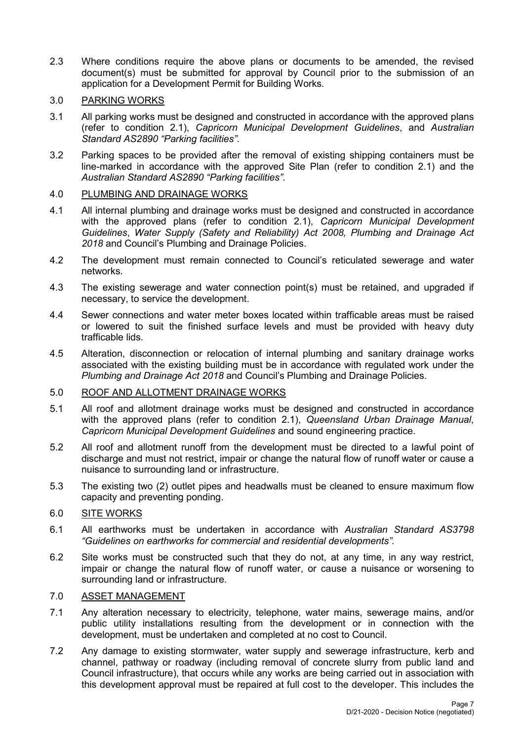2.3 Where conditions require the above plans or documents to be amended, the revised document(s) must be submitted for approval by Council prior to the submission of an application for a Development Permit for Building Works.

## 3.0 PARKING WORKS

- 3.1 All parking works must be designed and constructed in accordance with the approved plans (refer to condition 2.1), *Capricorn Municipal Development Guidelines*, and *Australian Standard AS2890 "Parking facilities"*.
- 3.2 Parking spaces to be provided after the removal of existing shipping containers must be line-marked in accordance with the approved Site Plan (refer to condition 2.1) and the *Australian Standard AS2890 "Parking facilities"*.

## 4.0 PLUMBING AND DRAINAGE WORKS

- 4.1 All internal plumbing and drainage works must be designed and constructed in accordance with the approved plans (refer to condition 2.1), *Capricorn Municipal Development Guidelines*, *Water Supply (Safety and Reliability) Act 2008, Plumbing and Drainage Act 2018* and Council's Plumbing and Drainage Policies.
- 4.2 The development must remain connected to Council's reticulated sewerage and water networks.
- 4.3 The existing sewerage and water connection point(s) must be retained, and upgraded if necessary, to service the development.
- 4.4 Sewer connections and water meter boxes located within trafficable areas must be raised or lowered to suit the finished surface levels and must be provided with heavy duty trafficable lids.
- 4.5 Alteration, disconnection or relocation of internal plumbing and sanitary drainage works associated with the existing building must be in accordance with regulated work under the *Plumbing and Drainage Act 2018* and Council's Plumbing and Drainage Policies.

## 5.0 ROOF AND ALLOTMENT DRAINAGE WORKS

- 5.1 All roof and allotment drainage works must be designed and constructed in accordance with the approved plans (refer to condition 2.1), *Queensland Urban Drainage Manual*, *Capricorn Municipal Development Guidelines* and sound engineering practice.
- 5.2 All roof and allotment runoff from the development must be directed to a lawful point of discharge and must not restrict, impair or change the natural flow of runoff water or cause a nuisance to surrounding land or infrastructure.
- 5.3 The existing two (2) outlet pipes and headwalls must be cleaned to ensure maximum flow capacity and preventing ponding.

## 6.0 SITE WORKS

- 6.1 All earthworks must be undertaken in accordance with *Australian Standard AS3798 "Guidelines on earthworks for commercial and residential developments".*
- 6.2 Site works must be constructed such that they do not, at any time, in any way restrict, impair or change the natural flow of runoff water, or cause a nuisance or worsening to surrounding land or infrastructure.

## 7.0 ASSET MANAGEMENT

- 7.1 Any alteration necessary to electricity, telephone, water mains, sewerage mains, and/or public utility installations resulting from the development or in connection with the development, must be undertaken and completed at no cost to Council.
- 7.2 Any damage to existing stormwater, water supply and sewerage infrastructure, kerb and channel, pathway or roadway (including removal of concrete slurry from public land and Council infrastructure), that occurs while any works are being carried out in association with this development approval must be repaired at full cost to the developer. This includes the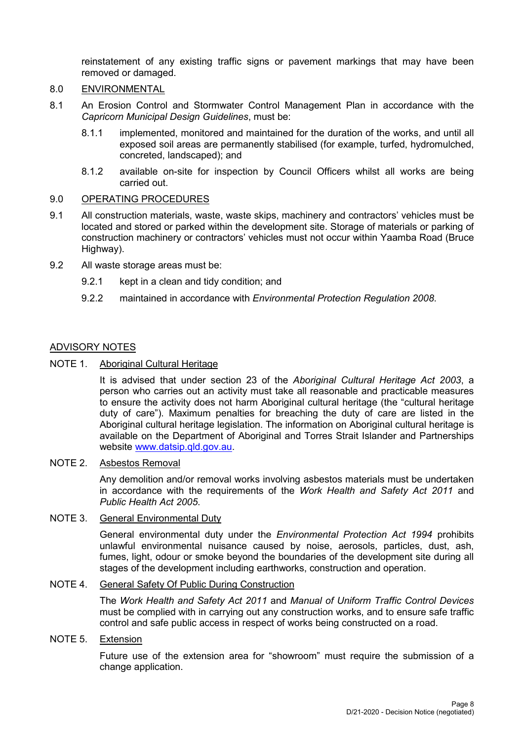reinstatement of any existing traffic signs or pavement markings that may have been removed or damaged.

## 8.0 ENVIRONMENTAL

- 8.1 An Erosion Control and Stormwater Control Management Plan in accordance with the *Capricorn Municipal Design Guidelines*, must be:
	- 8.1.1 implemented, monitored and maintained for the duration of the works, and until all exposed soil areas are permanently stabilised (for example, turfed, hydromulched, concreted, landscaped); and
	- 8.1.2 available on-site for inspection by Council Officers whilst all works are being carried out.

## 9.0 OPERATING PROCEDURES

- 9.1 All construction materials, waste, waste skips, machinery and contractors' vehicles must be located and stored or parked within the development site. Storage of materials or parking of construction machinery or contractors' vehicles must not occur within Yaamba Road (Bruce Highway).
- 9.2 All waste storage areas must be:
	- 9.2.1 kept in a clean and tidy condition; and
	- 9.2.2 maintained in accordance with *Environmental Protection Regulation 2008*.

## ADVISORY NOTES

NOTE 1. Aboriginal Cultural Heritage

It is advised that under section 23 of the *Aboriginal Cultural Heritage Act 2003*, a person who carries out an activity must take all reasonable and practicable measures to ensure the activity does not harm Aboriginal cultural heritage (the "cultural heritage duty of care"). Maximum penalties for breaching the duty of care are listed in the Aboriginal cultural heritage legislation. The information on Aboriginal cultural heritage is available on the Department of Aboriginal and Torres Strait Islander and Partnerships website [www.datsip.qld.gov.au.](http://www.datsip.qld.gov.au/)

## NOTE 2. Asbestos Removal

Any demolition and/or removal works involving asbestos materials must be undertaken in accordance with the requirements of the *Work Health and Safety Act 2011* and *Public Health Act 2005*.

## NOTE 3. General Environmental Duty

General environmental duty under the *Environmental Protection Act 1994* prohibits unlawful environmental nuisance caused by noise, aerosols, particles, dust, ash, fumes, light, odour or smoke beyond the boundaries of the development site during all stages of the development including earthworks, construction and operation.

## NOTE 4. General Safety Of Public During Construction

The *Work Health and Safety Act 2011* and *Manual of Uniform Traffic Control Devices* must be complied with in carrying out any construction works, and to ensure safe traffic control and safe public access in respect of works being constructed on a road.

## NOTE 5. Extension

Future use of the extension area for "showroom" must require the submission of a change application.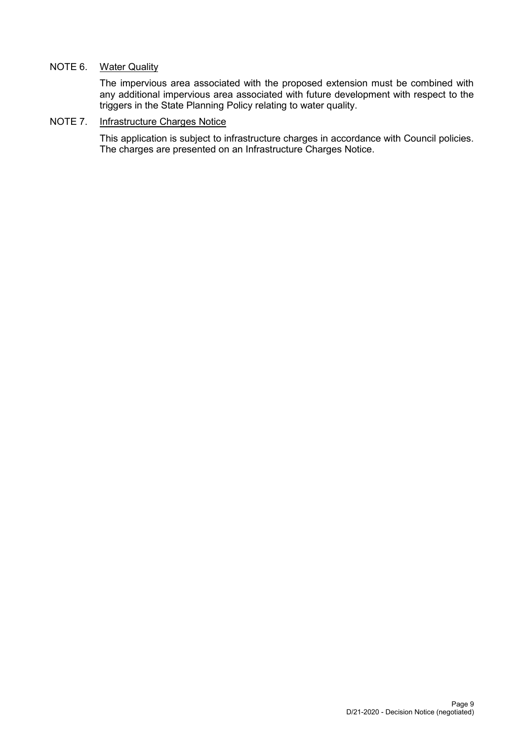## NOTE 6. Water Quality

The impervious area associated with the proposed extension must be combined with any additional impervious area associated with future development with respect to the triggers in the State Planning Policy relating to water quality.

## NOTE 7. Infrastructure Charges Notice

This application is subject to infrastructure charges in accordance with Council policies. The charges are presented on an Infrastructure Charges Notice.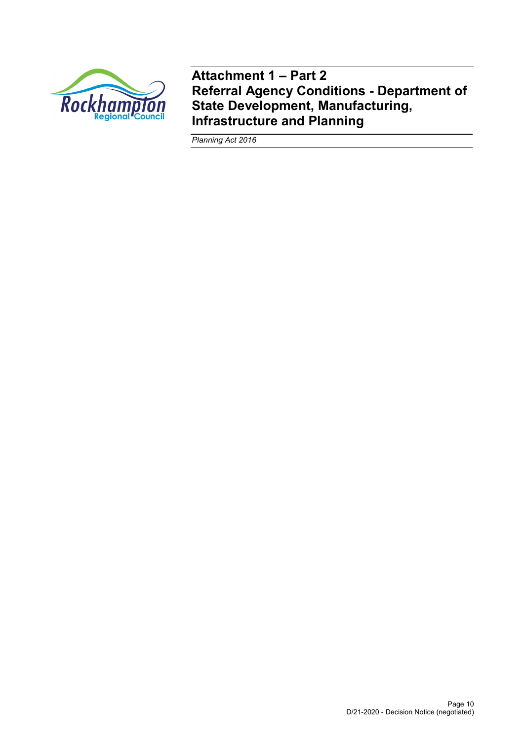

**Attachment 1 – Part 2 Referral Agency Conditions - Department of State Development, Manufacturing, Infrastructure and Planning**

*Planning Act 2016*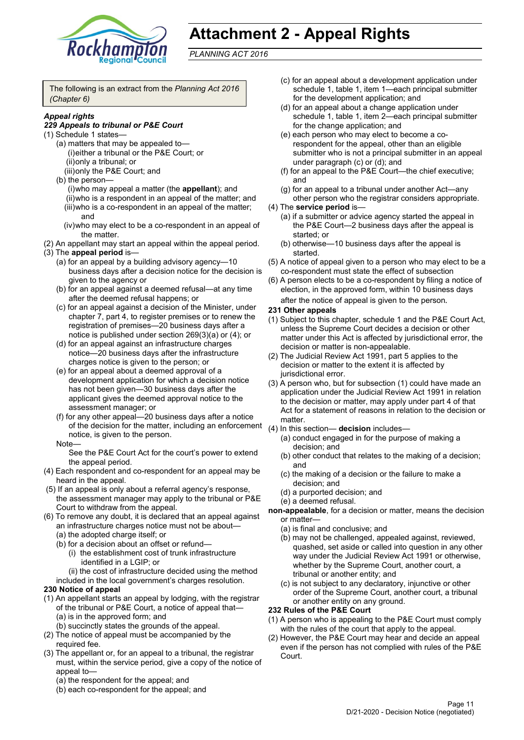

# **Attachment 2 - Appeal Rights**

*PLANNING ACT 2016*

The following is an extract from the *Planning Act 2016 (Chapter 6)*

## *Appeal rights*

## *229 Appeals to tribunal or P&E Court*

- (1) Schedule 1 states—
	- (a) matters that may be appealed to— (i)either a tribunal or the P&E Court; or (ii)only a tribunal; or
	- (iii)only the P&E Court; and
	- (b) the person— (i)who may appeal a matter (the **appellant**); and (ii)who is a respondent in an appeal of the matter; and (iii)who is a co-respondent in an appeal of the matter; and
		- (iv)who may elect to be a co-respondent in an appeal of the matter.
- (2) An appellant may start an appeal within the appeal period. (3) The **appeal period** is—
	- (a) for an appeal by a building advisory agency—10 business days after a decision notice for the decision is given to the agency or
	- (b) for an appeal against a deemed refusal—at any time after the deemed refusal happens; or
	- (c) for an appeal against a decision of the Minister, under chapter 7, part 4, to register premises or to renew the registration of premises—20 business days after a notice is published under section 269(3)(a) or (4); or
	- (d) for an appeal against an infrastructure charges notice—20 business days after the infrastructure charges notice is given to the person; or
	- (e) for an appeal about a deemed approval of a development application for which a decision notice has not been given—30 business days after the applicant gives the deemed approval notice to the assessment manager; or
	- (f) for any other appeal—20 business days after a notice of the decision for the matter, including an enforcement notice, is given to the person.

#### Note—

See the P&E Court Act for the court's power to extend the appeal period.

- (4) Each respondent and co-respondent for an appeal may be heard in the appeal.
- (5) If an appeal is only about a referral agency's response, the assessment manager may apply to the tribunal or P&E Court to withdraw from the appeal.
- (6) To remove any doubt, it is declared that an appeal against an infrastructure charges notice must not be about—
	- (a) the adopted charge itself; or
	- (b) for a decision about an offset or refund—
		- (i) the establishment cost of trunk infrastructure identified in a LGIP; or

(ii) the cost of infrastructure decided using the method included in the local government's charges resolution.

## **230 Notice of appeal**

- (1) An appellant starts an appeal by lodging, with the registrar of the tribunal or P&E Court, a notice of appeal that—
	- (a) is in the approved form; and
	- (b) succinctly states the grounds of the appeal.
- (2) The notice of appeal must be accompanied by the required fee.
- (3) The appellant or, for an appeal to a tribunal, the registrar must, within the service period, give a copy of the notice of appeal to—
	- (a) the respondent for the appeal; and
	- (b) each co-respondent for the appeal; and
- (c) for an appeal about a development application under schedule 1, table 1, item 1—each principal submitter for the development application; and
- (d) for an appeal about a change application under schedule 1, table 1, item 2—each principal submitter for the change application; and
- (e) each person who may elect to become a corespondent for the appeal, other than an eligible submitter who is not a principal submitter in an appeal under paragraph (c) or (d); and
- (f) for an appeal to the P&E Court—the chief executive; and
- (g) for an appeal to a tribunal under another Act—any other person who the registrar considers appropriate.
- (4) The **service period** is—
	- (a) if a submitter or advice agency started the appeal in the P&E Court—2 business days after the appeal is started; or
	- (b) otherwise—10 business days after the appeal is started.
- (5) A notice of appeal given to a person who may elect to be a co-respondent must state the effect of subsection
- (6) A person elects to be a co-respondent by filing a notice of election, in the approved form, within 10 business days after the notice of appeal is given to the person*.*

#### **231 Other appeals**

- (1) Subject to this chapter, schedule 1 and the P&E Court Act, unless the Supreme Court decides a decision or other matter under this Act is affected by jurisdictional error, the decision or matter is non-appealable.
- (2) The Judicial Review Act 1991, part 5 applies to the decision or matter to the extent it is affected by jurisdictional error.
- (3) A person who, but for subsection (1) could have made an application under the Judicial Review Act 1991 in relation to the decision or matter, may apply under part 4 of that Act for a statement of reasons in relation to the decision or matter.
- (4) In this section— **decision** includes—
	- (a) conduct engaged in for the purpose of making a decision; and
	- (b) other conduct that relates to the making of a decision; and
	- (c) the making of a decision or the failure to make a decision; and
	- (d) a purported decision; and
	- (e) a deemed refusal.
- **non-appealable**, for a decision or matter, means the decision or matter—
	- (a) is final and conclusive; and
	- (b) may not be challenged, appealed against, reviewed, quashed, set aside or called into question in any other way under the Judicial Review Act 1991 or otherwise, whether by the Supreme Court, another court, a tribunal or another entity; and
	- (c) is not subject to any declaratory, injunctive or other order of the Supreme Court, another court, a tribunal or another entity on any ground.

## **232 Rules of the P&E Court**

- (1) A person who is appealing to the P&E Court must comply with the rules of the court that apply to the appeal.
- (2) However, the P&E Court may hear and decide an appeal even if the person has not complied with rules of the P&E Court.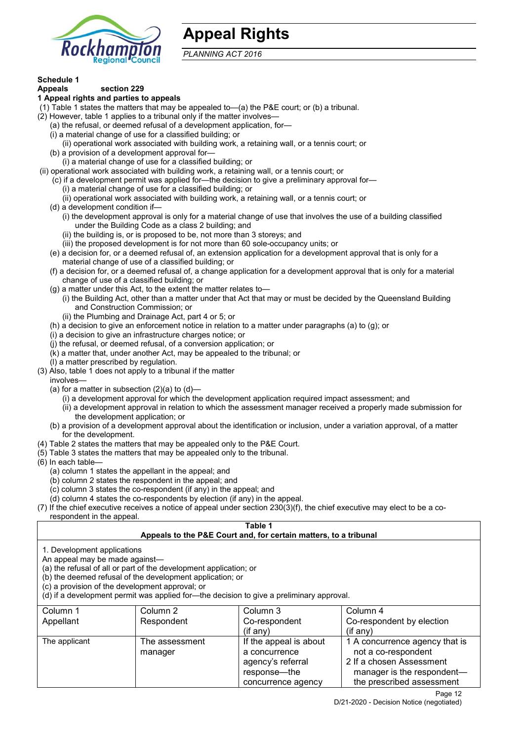

# **Appeal Rights**

*PLANNING ACT 2016*

## **Schedule 1**

#### **Appeals section 229 1 Appeal rights and parties to appeals**

- (1) Table 1 states the matters that may be appealed to—(a) the P&E court; or (b) a tribunal.
- (2) However, table 1 applies to a tribunal only if the matter involves—
	- (a) the refusal, or deemed refusal of a development application, for—
	- (i) a material change of use for a classified building; or
	- (ii) operational work associated with building work, a retaining wall, or a tennis court; or
	- (b) a provision of a development approval for—
	- (i) a material change of use for a classified building; or
- (ii) operational work associated with building work, a retaining wall, or a tennis court; or
	- (c) if a development permit was applied for—the decision to give a preliminary approval for—
		- (i) a material change of use for a classified building; or
		- (ii) operational work associated with building work, a retaining wall, or a tennis court; or
	- (d) a development condition if—
		- (i) the development approval is only for a material change of use that involves the use of a building classified under the Building Code as a class 2 building; and
		- (ii) the building is, or is proposed to be, not more than 3 storeys; and
		- (iii) the proposed development is for not more than 60 sole-occupancy units; or
	- (e) a decision for, or a deemed refusal of, an extension application for a development approval that is only for a material change of use of a classified building; or
	- (f) a decision for, or a deemed refusal of, a change application for a development approval that is only for a material change of use of a classified building; or
	- (g) a matter under this Act, to the extent the matter relates to—
		- (i) the Building Act, other than a matter under that Act that may or must be decided by the Queensland Building and Construction Commission; or
			- (ii) the Plumbing and Drainage Act, part 4 or 5; or
	- (h) a decision to give an enforcement notice in relation to a matter under paragraphs (a) to (g); or
	- (i) a decision to give an infrastructure charges notice; or
	- (j) the refusal, or deemed refusal, of a conversion application; or
	- (k) a matter that, under another Act, may be appealed to the tribunal; or
	- (l) a matter prescribed by regulation.
- (3) Also, table 1 does not apply to a tribunal if the matter
- involves—
	- (a) for a matter in subsection  $(2)(a)$  to  $(d)$ -
		- (i) a development approval for which the development application required impact assessment; and
		- (ii) a development approval in relation to which the assessment manager received a properly made submission for the development application; or
	- (b) a provision of a development approval about the identification or inclusion, under a variation approval, of a matter for the development.
- (4) Table 2 states the matters that may be appealed only to the P&E Court.
- (5) Table 3 states the matters that may be appealed only to the tribunal.
- (6) In each table—
	- (a) column 1 states the appellant in the appeal; and
	- (b) column 2 states the respondent in the appeal; and
	- (c) column 3 states the co-respondent (if any) in the appeal; and
	- (d) column 4 states the co-respondents by election (if any) in the appeal.
- $(7)$  If the chief executive receives a notice of appeal under section  $230(3)(f)$ , the chief executive may elect to be a corespondent in the appeal.

## **Table 1**

## **Appeals to the P&E Court and, for certain matters, to a tribunal**

1. Development applications

An appeal may be made against—

(a) the refusal of all or part of the development application; or

(b) the deemed refusal of the development application; or

(c) a provision of the development approval; or

(d) if a development permit was applied for—the decision to give a preliminary approval.

| Column 1      | Column 2                  | Column 3                                                                                           | Column 4                                                                                                                                     |
|---------------|---------------------------|----------------------------------------------------------------------------------------------------|----------------------------------------------------------------------------------------------------------------------------------------------|
| Appellant     | Respondent                | Co-respondent                                                                                      | Co-respondent by election                                                                                                                    |
|               |                           | $($ if any $)$                                                                                     | (i f any)                                                                                                                                    |
| The applicant | The assessment<br>manager | If the appeal is about<br>a concurrence<br>agency's referral<br>response—the<br>concurrence agency | 1 A concurrence agency that is<br>not a co-respondent<br>2 If a chosen Assessment<br>manager is the respondent-<br>the prescribed assessment |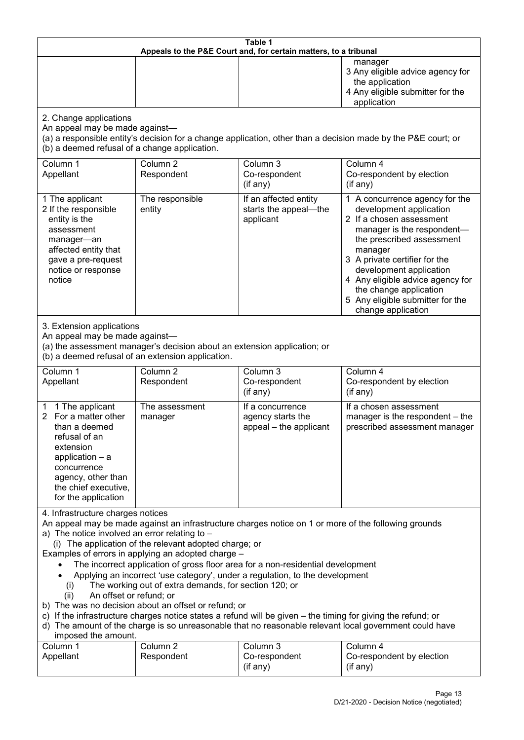| Table 1<br>Appeals to the P&E Court and, for certain matters, to a tribunal                                                                                                                                                                                                                                                                                                                                                                                                                                                                                                                                                                                                                                                                                                                                                                                                               |                                                                                                                               |                                                                 |                                                                                                                                                                                                                                                                                                                                                 |  |  |
|-------------------------------------------------------------------------------------------------------------------------------------------------------------------------------------------------------------------------------------------------------------------------------------------------------------------------------------------------------------------------------------------------------------------------------------------------------------------------------------------------------------------------------------------------------------------------------------------------------------------------------------------------------------------------------------------------------------------------------------------------------------------------------------------------------------------------------------------------------------------------------------------|-------------------------------------------------------------------------------------------------------------------------------|-----------------------------------------------------------------|-------------------------------------------------------------------------------------------------------------------------------------------------------------------------------------------------------------------------------------------------------------------------------------------------------------------------------------------------|--|--|
|                                                                                                                                                                                                                                                                                                                                                                                                                                                                                                                                                                                                                                                                                                                                                                                                                                                                                           |                                                                                                                               |                                                                 | manager<br>3 Any eligible advice agency for<br>the application<br>4 Any eligible submitter for the<br>application                                                                                                                                                                                                                               |  |  |
| 2. Change applications<br>An appeal may be made against-<br>(b) a deemed refusal of a change application.                                                                                                                                                                                                                                                                                                                                                                                                                                                                                                                                                                                                                                                                                                                                                                                 |                                                                                                                               |                                                                 | (a) a responsible entity's decision for a change application, other than a decision made by the P&E court; or                                                                                                                                                                                                                                   |  |  |
| Column 1<br>Appellant                                                                                                                                                                                                                                                                                                                                                                                                                                                                                                                                                                                                                                                                                                                                                                                                                                                                     | Column <sub>2</sub><br>Respondent                                                                                             | Column 3<br>Co-respondent<br>(if any)                           | Column 4<br>Co-respondent by election<br>(if any)                                                                                                                                                                                                                                                                                               |  |  |
| 1 The applicant<br>2 If the responsible<br>entity is the<br>assessment<br>manager-an<br>affected entity that<br>gave a pre-request<br>notice or response<br>notice                                                                                                                                                                                                                                                                                                                                                                                                                                                                                                                                                                                                                                                                                                                        | The responsible<br>entity                                                                                                     | If an affected entity<br>starts the appeal-the<br>applicant     | 1 A concurrence agency for the<br>development application<br>2 If a chosen assessment<br>manager is the respondent-<br>the prescribed assessment<br>manager<br>3 A private certifier for the<br>development application<br>4 Any eligible advice agency for<br>the change application<br>5 Any eligible submitter for the<br>change application |  |  |
| 3. Extension applications<br>An appeal may be made against-                                                                                                                                                                                                                                                                                                                                                                                                                                                                                                                                                                                                                                                                                                                                                                                                                               | (a) the assessment manager's decision about an extension application; or<br>(b) a deemed refusal of an extension application. |                                                                 |                                                                                                                                                                                                                                                                                                                                                 |  |  |
| Column 1<br>Appellant                                                                                                                                                                                                                                                                                                                                                                                                                                                                                                                                                                                                                                                                                                                                                                                                                                                                     | Column <sub>2</sub><br>Respondent                                                                                             | Column 3<br>Co-respondent<br>(if any)                           | Column 4<br>Co-respondent by election<br>(if any)                                                                                                                                                                                                                                                                                               |  |  |
| 1 The applicant<br>1<br>For a matter other<br>$\overline{2}$<br>than a deemed<br>refusal of an<br>extension<br>application $-$ a<br>concurrence<br>agency, other than<br>the chief executive,<br>for the application                                                                                                                                                                                                                                                                                                                                                                                                                                                                                                                                                                                                                                                                      | The assessment<br>manager                                                                                                     | If a concurrence<br>agency starts the<br>appeal - the applicant | If a chosen assessment<br>manager is the respondent - the<br>prescribed assessment manager                                                                                                                                                                                                                                                      |  |  |
| 4. Infrastructure charges notices<br>An appeal may be made against an infrastructure charges notice on 1 or more of the following grounds<br>a) The notice involved an error relating to -<br>(i) The application of the relevant adopted charge; or<br>Examples of errors in applying an adopted charge -<br>The incorrect application of gross floor area for a non-residential development<br>Applying an incorrect 'use category', under a regulation, to the development<br>The working out of extra demands, for section 120; or<br>(i)<br>An offset or refund; or<br>(ii)<br>b) The was no decision about an offset or refund; or<br>c) If the infrastructure charges notice states a refund will be given – the timing for giving the refund; or<br>d) The amount of the charge is so unreasonable that no reasonable relevant local government could have<br>imposed the amount. |                                                                                                                               |                                                                 |                                                                                                                                                                                                                                                                                                                                                 |  |  |
| Column 1<br>Appellant                                                                                                                                                                                                                                                                                                                                                                                                                                                                                                                                                                                                                                                                                                                                                                                                                                                                     | Column <sub>2</sub><br>Respondent                                                                                             | Column 3<br>Co-respondent<br>(if any)                           | Column 4<br>Co-respondent by election<br>(if any)                                                                                                                                                                                                                                                                                               |  |  |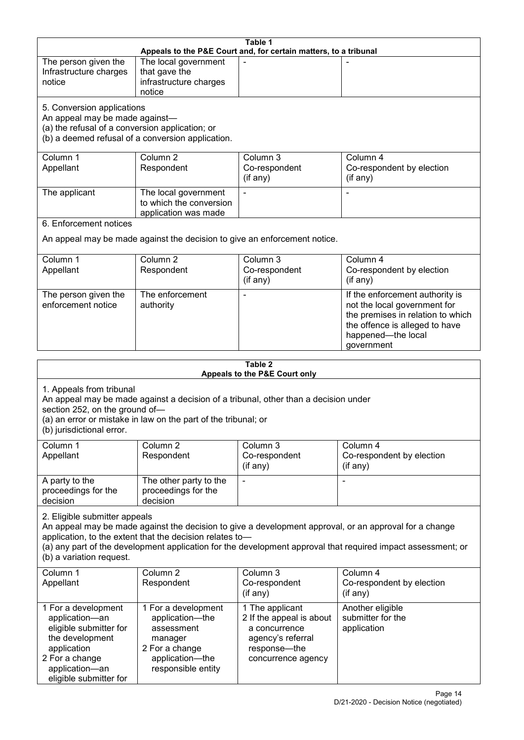|                                                                                                                                                                                                                                                                                                                                                 |                                                                                                                            | Table 1                                                                                                                 |                                                                                                                                                                            |  |
|-------------------------------------------------------------------------------------------------------------------------------------------------------------------------------------------------------------------------------------------------------------------------------------------------------------------------------------------------|----------------------------------------------------------------------------------------------------------------------------|-------------------------------------------------------------------------------------------------------------------------|----------------------------------------------------------------------------------------------------------------------------------------------------------------------------|--|
|                                                                                                                                                                                                                                                                                                                                                 |                                                                                                                            | Appeals to the P&E Court and, for certain matters, to a tribunal                                                        |                                                                                                                                                                            |  |
| The person given the<br>Infrastructure charges<br>notice                                                                                                                                                                                                                                                                                        | The local government<br>that gave the<br>infrastructure charges<br>notice                                                  |                                                                                                                         |                                                                                                                                                                            |  |
| 5. Conversion applications<br>An appeal may be made against-<br>(a) the refusal of a conversion application; or                                                                                                                                                                                                                                 | (b) a deemed refusal of a conversion application.                                                                          |                                                                                                                         |                                                                                                                                                                            |  |
| Column 1<br>Appellant                                                                                                                                                                                                                                                                                                                           | Column <sub>2</sub><br>Respondent                                                                                          | Column 3<br>Co-respondent<br>(if any)                                                                                   | Column 4<br>Co-respondent by election<br>(if any)                                                                                                                          |  |
| The applicant                                                                                                                                                                                                                                                                                                                                   | The local government<br>to which the conversion<br>application was made                                                    |                                                                                                                         |                                                                                                                                                                            |  |
| 6. Enforcement notices                                                                                                                                                                                                                                                                                                                          |                                                                                                                            |                                                                                                                         |                                                                                                                                                                            |  |
|                                                                                                                                                                                                                                                                                                                                                 |                                                                                                                            | An appeal may be made against the decision to give an enforcement notice.                                               |                                                                                                                                                                            |  |
| Column 1<br>Appellant                                                                                                                                                                                                                                                                                                                           | Column <sub>2</sub><br>Respondent                                                                                          | Column 3<br>Co-respondent<br>(if any)                                                                                   | Column 4<br>Co-respondent by election<br>(if any)                                                                                                                          |  |
| The person given the<br>enforcement notice                                                                                                                                                                                                                                                                                                      | The enforcement<br>authority                                                                                               |                                                                                                                         | If the enforcement authority is<br>not the local government for<br>the premises in relation to which<br>the offence is alleged to have<br>happened-the local<br>government |  |
|                                                                                                                                                                                                                                                                                                                                                 |                                                                                                                            |                                                                                                                         |                                                                                                                                                                            |  |
|                                                                                                                                                                                                                                                                                                                                                 |                                                                                                                            | Table 2<br>Appeals to the P&E Court only                                                                                |                                                                                                                                                                            |  |
| 1. Appeals from tribunal<br>section 252, on the ground of-<br>(b) jurisdictional error.                                                                                                                                                                                                                                                         | (a) an error or mistake in law on the part of the tribunal; or                                                             | An appeal may be made against a decision of a tribunal, other than a decision under                                     |                                                                                                                                                                            |  |
| Column 1<br>Appellant                                                                                                                                                                                                                                                                                                                           | Column <sub>2</sub><br>Respondent                                                                                          | Column 3<br>Co-respondent<br>(if any)                                                                                   | Column 4<br>Co-respondent by election<br>(if any)                                                                                                                          |  |
| A party to the<br>proceedings for the<br>decision                                                                                                                                                                                                                                                                                               | The other party to the<br>proceedings for the<br>decision                                                                  |                                                                                                                         |                                                                                                                                                                            |  |
| 2. Eligible submitter appeals<br>An appeal may be made against the decision to give a development approval, or an approval for a change<br>application, to the extent that the decision relates to-<br>(a) any part of the development application for the development approval that required impact assessment; or<br>(b) a variation request. |                                                                                                                            |                                                                                                                         |                                                                                                                                                                            |  |
| Column 1<br>Appellant                                                                                                                                                                                                                                                                                                                           | Column <sub>2</sub><br>Respondent                                                                                          | Column 3<br>Co-respondent<br>(if any)                                                                                   | Column 4<br>Co-respondent by election<br>(if any)                                                                                                                          |  |
| 1 For a development<br>application-an<br>eligible submitter for<br>the development<br>application<br>2 For a change<br>application-an                                                                                                                                                                                                           | 1 For a development<br>application-the<br>assessment<br>manager<br>2 For a change<br>application-the<br>responsible entity | 1 The applicant<br>2 If the appeal is about<br>a concurrence<br>agency's referral<br>response-the<br>concurrence agency | Another eligible<br>submitter for the<br>application                                                                                                                       |  |

eligible submitter for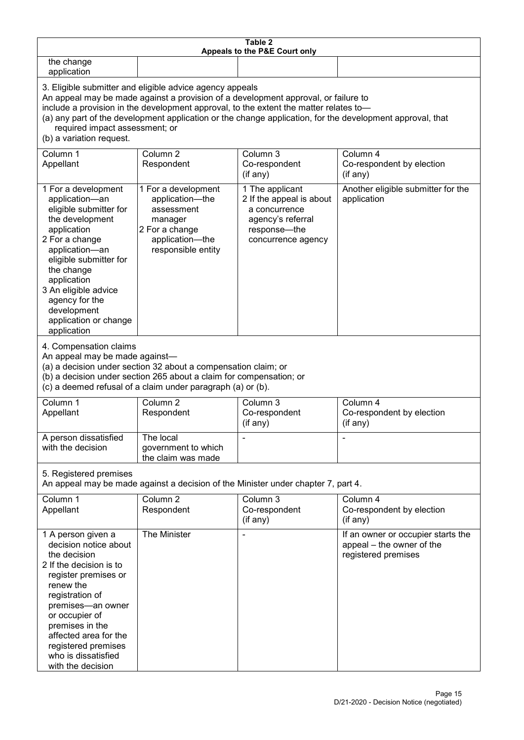| Table 2<br>Appeals to the P&E Court only                                                                                                                                                                                                                                                                                                                                                                           |                                                                                                                                                                                                      |                                                                                                                         |                                                                                        |  |  |
|--------------------------------------------------------------------------------------------------------------------------------------------------------------------------------------------------------------------------------------------------------------------------------------------------------------------------------------------------------------------------------------------------------------------|------------------------------------------------------------------------------------------------------------------------------------------------------------------------------------------------------|-------------------------------------------------------------------------------------------------------------------------|----------------------------------------------------------------------------------------|--|--|
| the change<br>application                                                                                                                                                                                                                                                                                                                                                                                          |                                                                                                                                                                                                      |                                                                                                                         |                                                                                        |  |  |
| 3. Eligible submitter and eligible advice agency appeals<br>An appeal may be made against a provision of a development approval, or failure to<br>include a provision in the development approval, to the extent the matter relates to-<br>(a) any part of the development application or the change application, for the development approval, that<br>required impact assessment; or<br>(b) a variation request. |                                                                                                                                                                                                      |                                                                                                                         |                                                                                        |  |  |
| Column 1<br>Appellant                                                                                                                                                                                                                                                                                                                                                                                              | Column 2<br>Respondent                                                                                                                                                                               | Column 3<br>Co-respondent<br>(if any)                                                                                   | Column 4<br>Co-respondent by election<br>(if any)                                      |  |  |
| 1 For a development<br>application-an<br>eligible submitter for<br>the development<br>application<br>2 For a change<br>application-an<br>eligible submitter for<br>the change<br>application<br>3 An eligible advice<br>agency for the<br>development<br>application or change<br>application                                                                                                                      | 1 For a development<br>application-the<br>assessment<br>manager<br>2 For a change<br>application-the<br>responsible entity                                                                           | 1 The applicant<br>2 If the appeal is about<br>a concurrence<br>agency's referral<br>response-the<br>concurrence agency | Another eligible submitter for the<br>application                                      |  |  |
| 4. Compensation claims<br>An appeal may be made against-                                                                                                                                                                                                                                                                                                                                                           | (a) a decision under section 32 about a compensation claim; or<br>(b) a decision under section 265 about a claim for compensation; or<br>(c) a deemed refusal of a claim under paragraph (a) or (b). |                                                                                                                         |                                                                                        |  |  |
| Column 1<br>Appellant                                                                                                                                                                                                                                                                                                                                                                                              | Column 2<br>Respondent                                                                                                                                                                               | Column 3<br>Co-respondent<br>(if any)                                                                                   | Column 4<br>Co-respondent by election<br>(if any)                                      |  |  |
| A person dissatisfied<br>with the decision                                                                                                                                                                                                                                                                                                                                                                         | The local<br>government to which<br>the claim was made                                                                                                                                               |                                                                                                                         |                                                                                        |  |  |
| 5. Registered premises<br>An appeal may be made against a decision of the Minister under chapter 7, part 4.                                                                                                                                                                                                                                                                                                        |                                                                                                                                                                                                      |                                                                                                                         |                                                                                        |  |  |
| Column 1<br>Appellant                                                                                                                                                                                                                                                                                                                                                                                              | Column <sub>2</sub><br>Respondent                                                                                                                                                                    | Column 3<br>Co-respondent<br>(if any)                                                                                   | Column 4<br>Co-respondent by election<br>$($ if any $)$                                |  |  |
| 1 A person given a<br>decision notice about<br>the decision<br>2 If the decision is to<br>register premises or<br>renew the<br>registration of<br>premises-an owner<br>or occupier of<br>premises in the<br>affected area for the<br>registered premises<br>who is dissatisfied<br>with the decision                                                                                                               | The Minister                                                                                                                                                                                         |                                                                                                                         | If an owner or occupier starts the<br>appeal - the owner of the<br>registered premises |  |  |